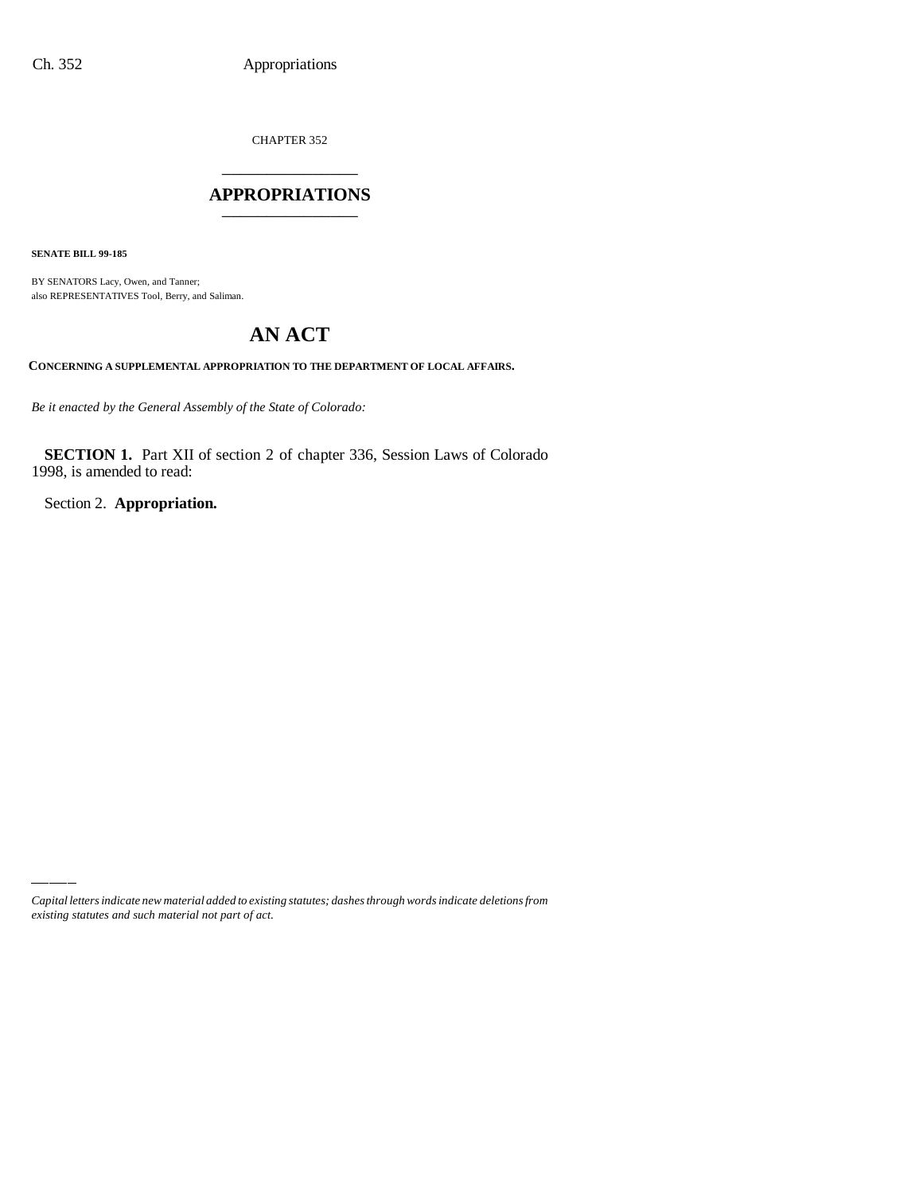CHAPTER 352 \_\_\_\_\_\_\_\_\_\_\_\_\_\_\_

### **APPROPRIATIONS** \_\_\_\_\_\_\_\_\_\_\_\_\_\_\_

**SENATE BILL 99-185**

BY SENATORS Lacy, Owen, and Tanner; also REPRESENTATIVES Tool, Berry, and Saliman.

# **AN ACT**

**CONCERNING A SUPPLEMENTAL APPROPRIATION TO THE DEPARTMENT OF LOCAL AFFAIRS.**

*Be it enacted by the General Assembly of the State of Colorado:*

**SECTION 1.** Part XII of section 2 of chapter 336, Session Laws of Colorado 1998, is amended to read:

Section 2. **Appropriation.**

*Capital letters indicate new material added to existing statutes; dashes through words indicate deletions from existing statutes and such material not part of act.*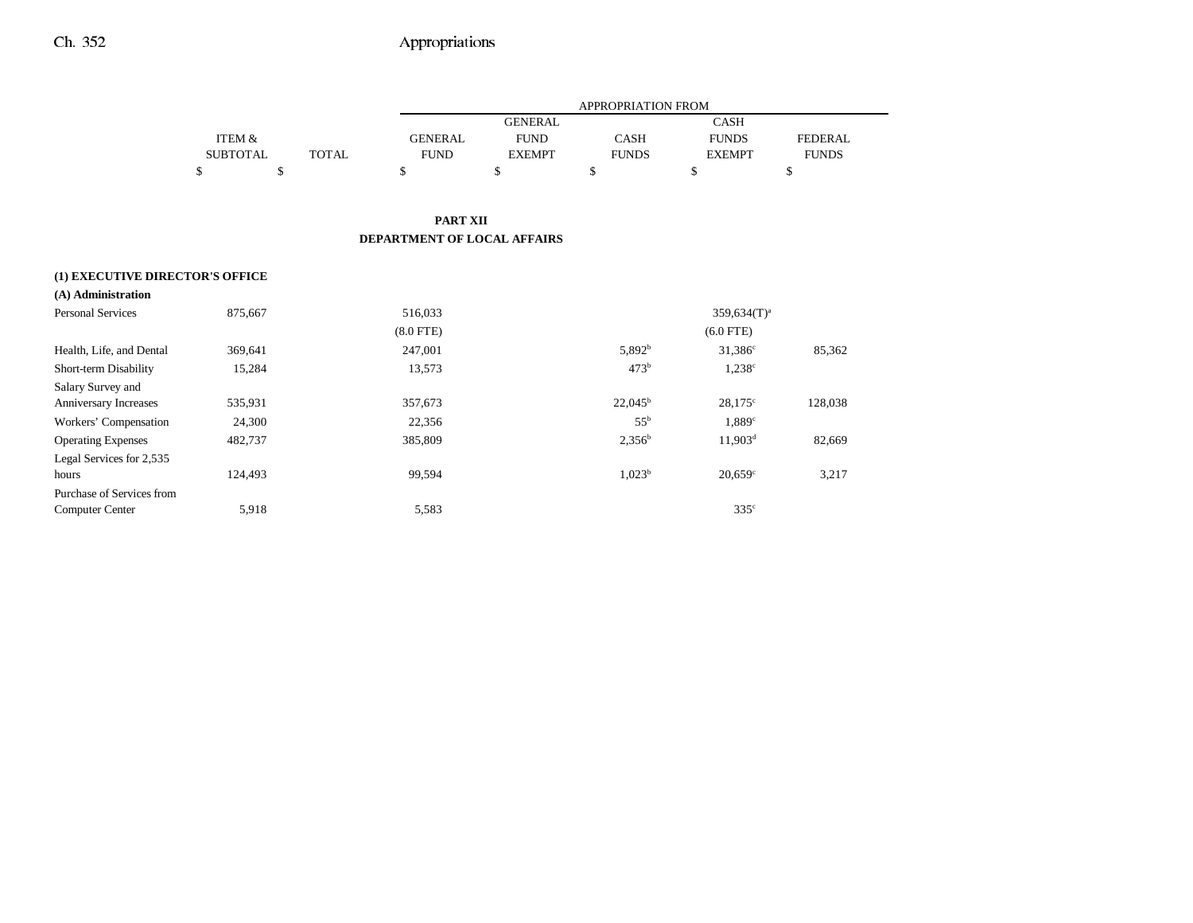|                                 |                   |              |                             |                | APPROPRIATION FROM |                       |                |
|---------------------------------|-------------------|--------------|-----------------------------|----------------|--------------------|-----------------------|----------------|
|                                 |                   |              |                             | <b>GENERAL</b> |                    | <b>CASH</b>           |                |
|                                 | <b>ITEM &amp;</b> |              | <b>GENERAL</b>              | <b>FUND</b>    | CASH               | <b>FUNDS</b>          | <b>FEDERAL</b> |
|                                 | <b>SUBTOTAL</b>   | <b>TOTAL</b> | <b>FUND</b>                 | <b>EXEMPT</b>  | <b>FUNDS</b>       | <b>EXEMPT</b>         | <b>FUNDS</b>   |
|                                 | \$<br>\$          |              | \$                          | \$             | \$                 | \$                    | \$             |
|                                 |                   |              |                             |                |                    |                       |                |
|                                 |                   |              | <b>PART XII</b>             |                |                    |                       |                |
|                                 |                   |              | DEPARTMENT OF LOCAL AFFAIRS |                |                    |                       |                |
|                                 |                   |              |                             |                |                    |                       |                |
| (1) EXECUTIVE DIRECTOR'S OFFICE |                   |              |                             |                |                    |                       |                |
| (A) Administration              |                   |              |                             |                |                    |                       |                |
| Personal Services               | 875,667           |              | 516,033                     |                |                    | $359,634(T)^a$        |                |
|                                 |                   |              | $(8.0$ FTE $)$              |                |                    | $(6.0$ FTE)           |                |
| Health, Life, and Dental        | 369,641           |              | 247,001                     |                | 5,892 <sup>b</sup> | $31,386^{\circ}$      | 85,362         |
| Short-term Disability           | 15,284            |              | 13,573                      |                | 473 <sup>b</sup>   | $1,238^{\circ}$       |                |
| Salary Survey and               |                   |              |                             |                |                    |                       |                |
| Anniversary Increases           | 535,931           |              | 357,673                     |                | $22,045^{\rm b}$   | $28,175^{\circ}$      | 128,038        |
| Workers' Compensation           | 24,300            |              | 22,356                      |                | $55^{\rm b}$       | $1,889^\circ$         |                |
| <b>Operating Expenses</b>       | 482,737           |              | 385,809                     |                | $2,356^b$          | $11,903^d$            | 82,669         |
| Legal Services for 2,535        |                   |              |                             |                |                    |                       |                |
| hours                           | 124,493           |              | 99,594                      |                | 1,023 <sup>b</sup> | $20,659$ <sup>c</sup> | 3,217          |
| Purchase of Services from       |                   |              |                             |                |                    |                       |                |
| <b>Computer Center</b>          | 5,918             |              | 5,583                       |                |                    | 335 <sup>c</sup>      |                |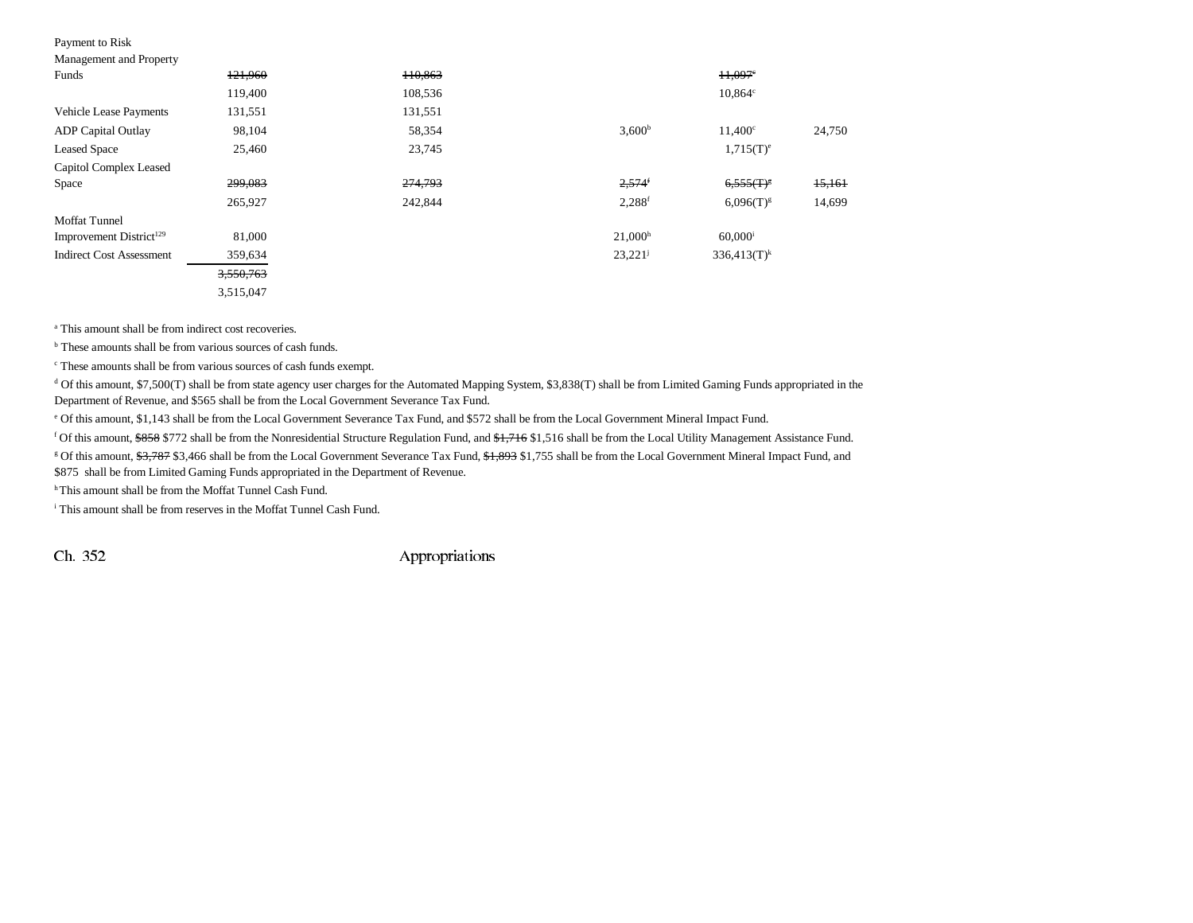# Payment to Risk<br>Management and

| Management and Property             |           |         |                      |                       |        |
|-------------------------------------|-----------|---------|----------------------|-----------------------|--------|
| Funds                               | 121,960   | 110,863 |                      | $11,097$ <sup>e</sup> |        |
|                                     | 119,400   | 108,536 |                      | $10,864$ c            |        |
| <b>Vehicle Lease Payments</b>       | 131,551   | 131,551 |                      |                       |        |
| <b>ADP</b> Capital Outlay           | 98,104    | 58,354  | 3,600 <sup>b</sup>   | $11.400^\circ$        | 24,750 |
| <b>Leased Space</b>                 | 25,460    | 23,745  |                      | $1,715(T)^e$          |        |
| Capitol Complex Leased              |           |         |                      |                       |        |
| Space                               | 299,083   | 274,793 | $2,574$ <sup>f</sup> | $6,555(T)^8$          | 15,161 |
|                                     | 265,927   | 242,844 | $2,288$ <sup>f</sup> | $6,096(T)^{g}$        | 14,699 |
| <b>Moffat Tunnel</b>                |           |         |                      |                       |        |
| Improvement District <sup>129</sup> | 81,000    |         | 21,000 <sup>h</sup>  | $60,000$ <sup>i</sup> |        |
| <b>Indirect Cost Assessment</b>     | 359,634   |         | $23,221^{\rm j}$     | $336,413(T)^k$        |        |
|                                     | 3,550,763 |         |                      |                       |        |
|                                     | 3,515,047 |         |                      |                       |        |

<sup>a</sup> This amount shall be from indirect cost recoveries.

<sup>b</sup> These amounts shall be from various sources of cash funds.

c These amounts shall be from various sources of cash funds exempt.

d Of this amount, \$7,500(T) shall be from state agency user charges for the Automated Mapping System, \$3,838(T) shall be from Limited Gaming Funds appropriated in the Department of Revenue, and \$565 shall be from the Local Government Severance Tax Fund.

e Of this amount, \$1,143 shall be from the Local Government Severance Tax Fund, and \$572 shall be from the Local Government Mineral Impact Fund.

<sup>f</sup> Of this amount, \$858 \$772 shall be from the Nonresidential Structure Regulation Fund, and \$1,716 \$1,516 shall be from the Local Utility Management Assistance Fund.

<sup>g</sup> Of this amount, \$3,787 \$3,466 shall be from the Local Government Severance Tax Fund, \$1,893 \$1,755 shall be from the Local Government Mineral Impact Fund, and

\$875 shall be from Limited Gaming Funds appropriated in the Department of Revenue.

<sup>h</sup> This amount shall be from the Moffat Tunnel Cash Fund.

i This amount shall be from reserves in the Moffat Tunnel Cash Fund.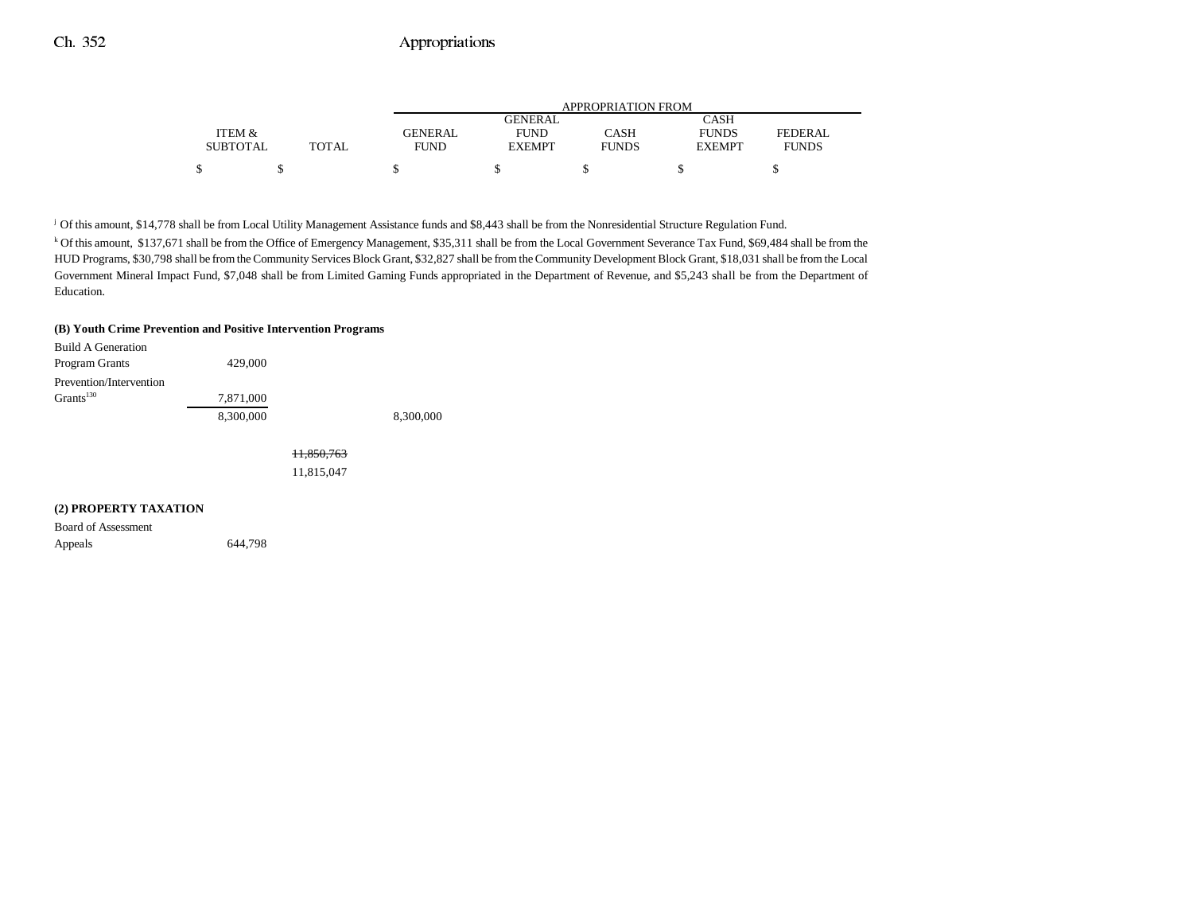|                 |              | APPROPRIATION FROM |               |              |               |                |  |  |
|-----------------|--------------|--------------------|---------------|--------------|---------------|----------------|--|--|
|                 |              |                    | GENERAL       |              | CASH          |                |  |  |
| ITEM &          |              | <b>GENERAL</b>     | <b>FUND</b>   | CASH         | <b>FUNDS</b>  | <b>FEDERAL</b> |  |  |
| <b>SUBTOTAL</b> | <b>TOTAL</b> | FUND               | <b>EXEMPT</b> | <b>FUNDS</b> | <b>EXEMPT</b> | <b>FUNDS</b>   |  |  |
|                 |              |                    |               |              |               |                |  |  |

j Of this amount, \$14,778 shall be from Local Utility Management Assistance funds and \$8,443 shall be from the Nonresidential Structure Regulation Fund.

k Of this amount, \$137,671 shall be from the Office of Emergency Management, \$35,311 shall be from the Local Government Severance Tax Fund, \$69,484 shall be from the HUD Programs, \$30,798 shall be from the Community Services Block Grant, \$32,827 shall be from the Community Development Block Grant, \$18,031 shall be from the Local Government Mineral Impact Fund, \$7,048 shall be from Limited Gaming Funds appropriated in the Department of Revenue, and \$5,243 shall be from the Department of Education.

#### **(B) Youth Crime Prevention and Positive Intervention Programs**

| Build A Generation      |           |           |
|-------------------------|-----------|-----------|
| Program Grants          | 429,000   |           |
| Prevention/Intervention |           |           |
| Grants <sup>130</sup>   | 7,871,000 |           |
|                         | 8.300.000 | 8,300,000 |

11,850,763 11,815,047

#### **(2) PROPERTY TAXATION**

Board of Assessment Appeals 644,798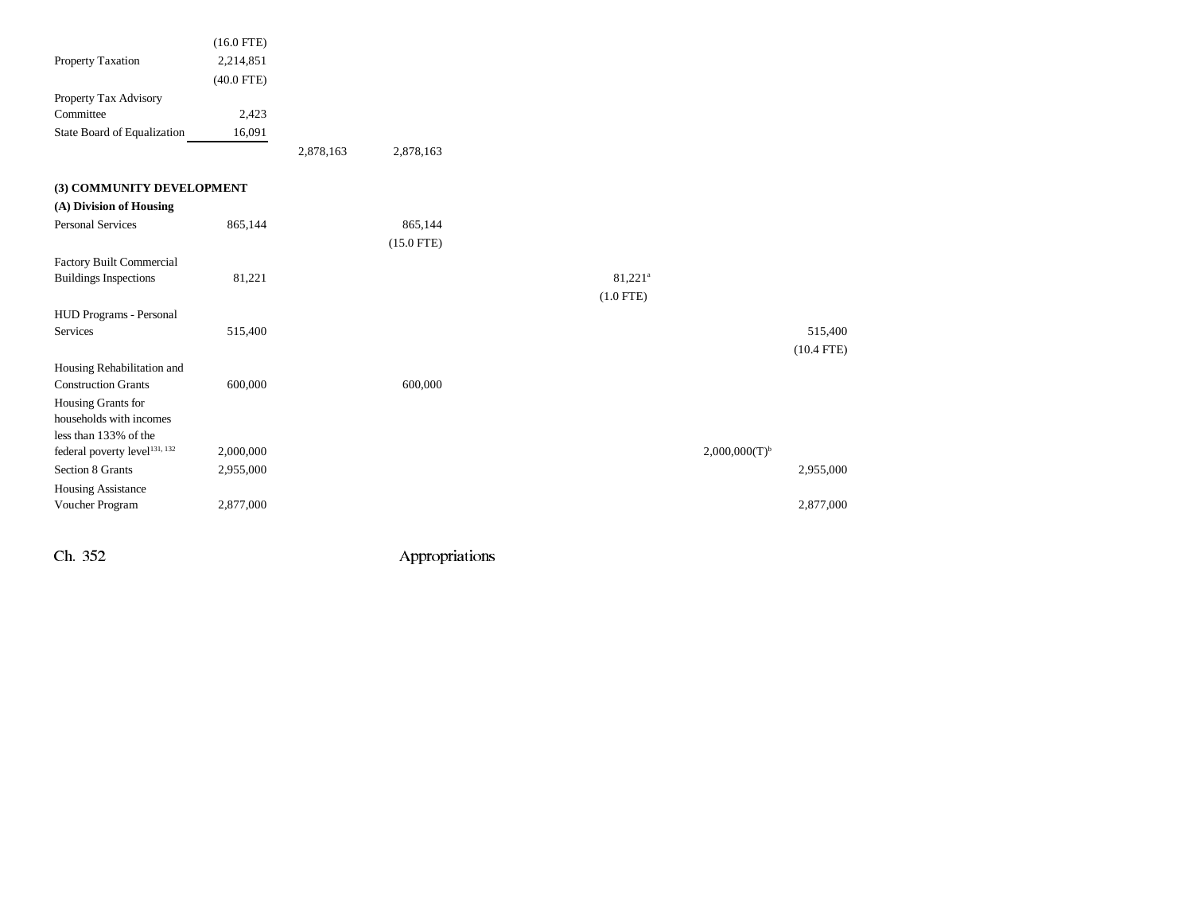|                                           | $(16.0$ FTE) |           |              |                       |                           |              |
|-------------------------------------------|--------------|-----------|--------------|-----------------------|---------------------------|--------------|
| Property Taxation                         | 2,214,851    |           |              |                       |                           |              |
|                                           | $(40.0$ FTE) |           |              |                       |                           |              |
| Property Tax Advisory                     |              |           |              |                       |                           |              |
| Committee                                 | 2,423        |           |              |                       |                           |              |
| State Board of Equalization               | 16,091       |           |              |                       |                           |              |
|                                           |              | 2,878,163 | 2,878,163    |                       |                           |              |
| (3) COMMUNITY DEVELOPMENT                 |              |           |              |                       |                           |              |
| (A) Division of Housing                   |              |           |              |                       |                           |              |
| <b>Personal Services</b>                  | 865,144      |           | 865,144      |                       |                           |              |
|                                           |              |           | $(15.0$ FTE) |                       |                           |              |
| <b>Factory Built Commercial</b>           |              |           |              |                       |                           |              |
| <b>Buildings Inspections</b>              | 81,221       |           |              | $81,221$ <sup>a</sup> |                           |              |
|                                           |              |           |              | $(1.0$ FTE)           |                           |              |
| HUD Programs - Personal                   |              |           |              |                       |                           |              |
| <b>Services</b>                           | 515,400      |           |              |                       |                           | 515,400      |
|                                           |              |           |              |                       |                           | $(10.4$ FTE) |
| Housing Rehabilitation and                |              |           |              |                       |                           |              |
| <b>Construction Grants</b>                | 600,000      |           | 600,000      |                       |                           |              |
| Housing Grants for                        |              |           |              |                       |                           |              |
| households with incomes                   |              |           |              |                       |                           |              |
| less than 133% of the                     |              |           |              |                       |                           |              |
| federal poverty level <sup>131, 132</sup> | 2,000,000    |           |              |                       | 2,000,000(T) <sup>b</sup> |              |
| Section 8 Grants                          | 2,955,000    |           |              |                       |                           | 2,955,000    |
| <b>Housing Assistance</b>                 |              |           |              |                       |                           |              |
| Voucher Program                           | 2,877,000    |           |              |                       |                           | 2,877,000    |
|                                           |              |           |              |                       |                           |              |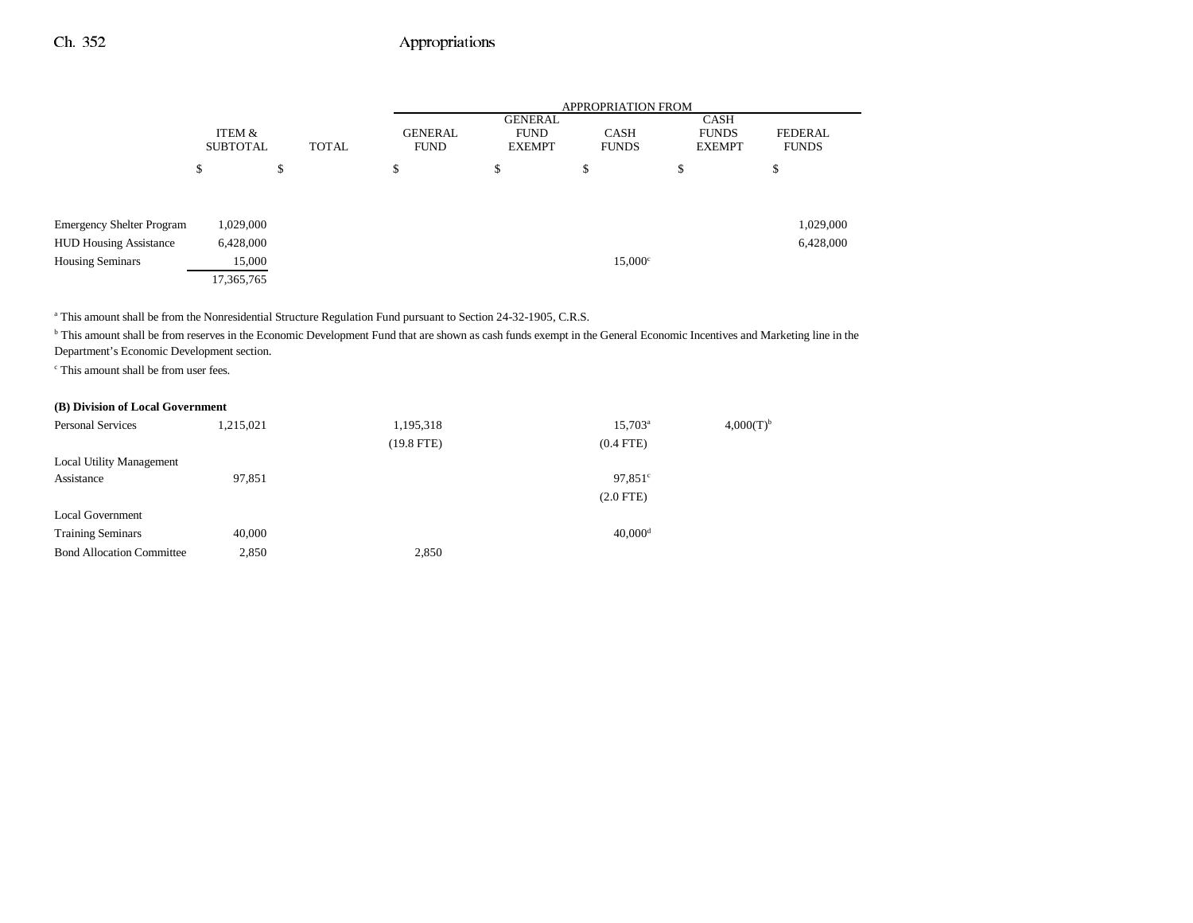|                                  |                           |    | <b>APPROPRIATION FROM</b>              |                                         |                             |                                       |                                |  |
|----------------------------------|---------------------------|----|----------------------------------------|-----------------------------------------|-----------------------------|---------------------------------------|--------------------------------|--|
|                                  | ITEM &<br><b>SUBTOTAL</b> |    | <b>GENERAL</b><br>TOTAL<br><b>FUND</b> | GENERAL<br><b>FUND</b><br><b>EXEMPT</b> | <b>CASH</b><br><b>FUNDS</b> | CASH<br><b>FUNDS</b><br><b>EXEMPT</b> | <b>FEDERAL</b><br><b>FUNDS</b> |  |
|                                  | S                         | \$ | \$                                     | \$                                      | J.                          | \$                                    | D                              |  |
| <b>Emergency Shelter Program</b> | 1,029,000                 |    |                                        |                                         |                             |                                       | 1,029,000                      |  |
| <b>HUD Housing Assistance</b>    | 6,428,000                 |    |                                        |                                         |                             |                                       | 6,428,000                      |  |
| <b>Housing Seminars</b>          | 15,000                    |    |                                        |                                         | $15,000^\circ$              |                                       |                                |  |
|                                  | 17,365,765                |    |                                        |                                         |                             |                                       |                                |  |

<sup>a</sup> This amount shall be from the Nonresidential Structure Regulation Fund pursuant to Section 24-32-1905, C.R.S.

<sup>b</sup> This amount shall be from reserves in the Economic Development Fund that are shown as cash funds exempt in the General Economic Incentives and Marketing line in the Department's Economic Development section.

c This amount shall be from user fees.

#### **(B) Division of Local Government**

| <b>Personal Services</b>         | 1,215,021 | 1,195,318    | $15,703^{\rm a}$      | $4,000(T)^{b}$ |
|----------------------------------|-----------|--------------|-----------------------|----------------|
|                                  |           | $(19.8$ FTE) | $(0.4$ FTE)           |                |
| <b>Local Utility Management</b>  |           |              |                       |                |
| Assistance                       | 97,851    |              | $97,851^{\circ}$      |                |
|                                  |           |              | $(2.0$ FTE $)$        |                |
| <b>Local Government</b>          |           |              |                       |                |
| <b>Training Seminars</b>         | 40,000    |              | $40,000$ <sup>d</sup> |                |
| <b>Bond Allocation Committee</b> | 2,850     | 2,850        |                       |                |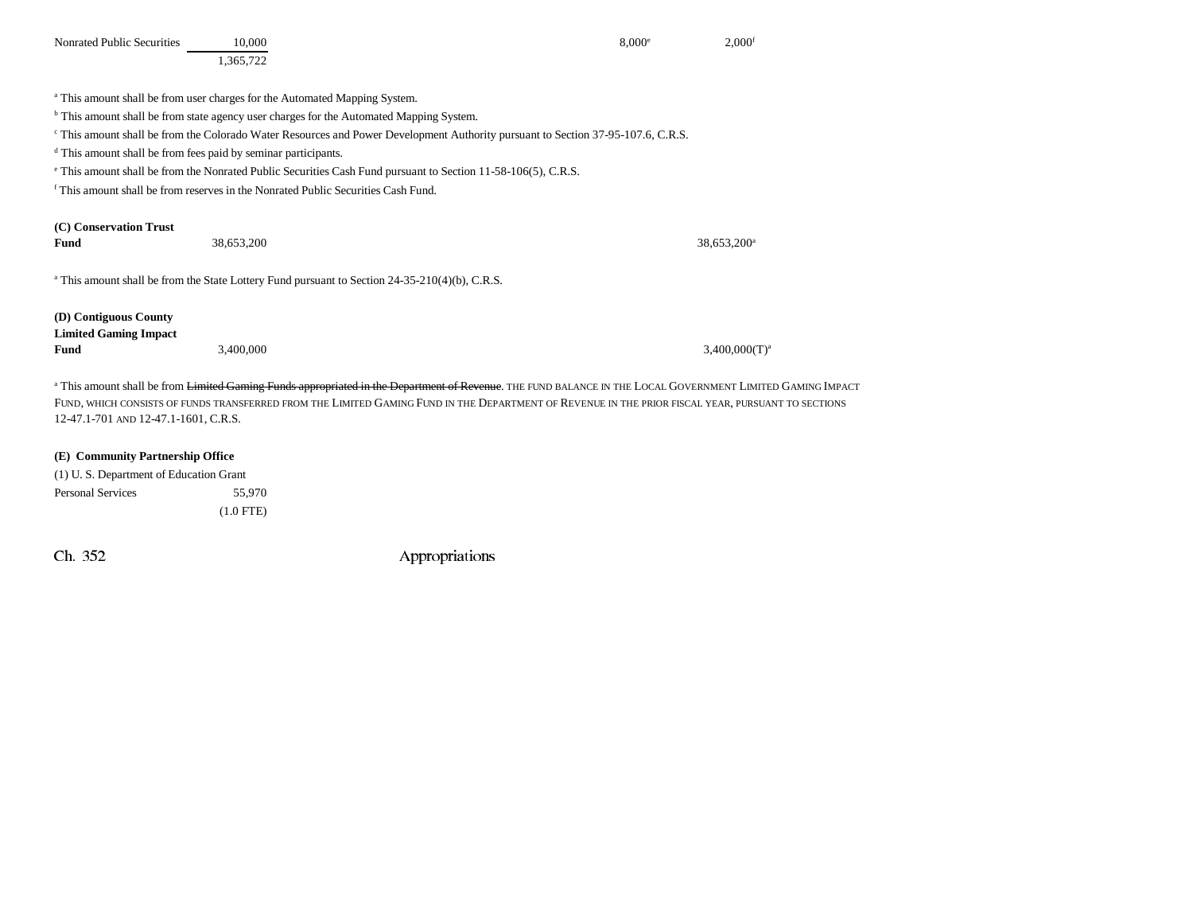| Nonrated Public Securities                                                | 10.000                                                                                                                                                                            | 8.000e | $2,000$ <sup>f</sup>    |
|---------------------------------------------------------------------------|-----------------------------------------------------------------------------------------------------------------------------------------------------------------------------------|--------|-------------------------|
|                                                                           | 1,365,722                                                                                                                                                                         |        |                         |
|                                                                           |                                                                                                                                                                                   |        |                         |
|                                                                           | <sup>a</sup> This amount shall be from user charges for the Automated Mapping System.                                                                                             |        |                         |
|                                                                           | <sup>b</sup> This amount shall be from state agency user charges for the Automated Mapping System.                                                                                |        |                         |
|                                                                           | <sup>c</sup> This amount shall be from the Colorado Water Resources and Power Development Authority pursuant to Section 37-95-107.6, C.R.S.                                       |        |                         |
| <sup>d</sup> This amount shall be from fees paid by seminar participants. |                                                                                                                                                                                   |        |                         |
|                                                                           | <sup>e</sup> This amount shall be from the Nonrated Public Securities Cash Fund pursuant to Section 11-58-106(5), C.R.S.                                                          |        |                         |
|                                                                           | <sup>f</sup> This amount shall be from reserves in the Nonrated Public Securities Cash Fund.                                                                                      |        |                         |
|                                                                           |                                                                                                                                                                                   |        |                         |
| (C) Conservation Trust                                                    |                                                                                                                                                                                   |        |                         |
| Fund                                                                      | 38,653,200                                                                                                                                                                        |        | 38,653,200 <sup>a</sup> |
|                                                                           |                                                                                                                                                                                   |        |                         |
|                                                                           | <sup>a</sup> This amount shall be from the State Lottery Fund pursuant to Section 24-35-210(4)(b), C.R.S.                                                                         |        |                         |
|                                                                           |                                                                                                                                                                                   |        |                         |
| (D) Contiguous County                                                     |                                                                                                                                                                                   |        |                         |
| <b>Limited Gaming Impact</b>                                              |                                                                                                                                                                                   |        |                         |
| Fund                                                                      | 3,400,000                                                                                                                                                                         |        | $3,400,000(T)^a$        |
|                                                                           |                                                                                                                                                                                   |        |                         |
|                                                                           | <sup>a</sup> This amount shall be from <del>Limited Gaming Funds appropriated in the Department of Revenue</del> . THE FUND BALANCE IN THE LOCAL GOVERNMENT LIMITED GAMING IMPACT |        |                         |
|                                                                           | FUND, WHICH CONSISTS OF FUNDS TRANSFERRED FROM THE LIMITED GAMING FUND IN THE DEPARTMENT OF REVENUE IN THE PRIOR FISCAL YEAR, PURSUANT TO SECTIONS                                |        |                         |

**(E) Community Partnership Office**

12-47.1-701 AND 12-47.1-1601, C.R.S.

|                          | (1) U.S. Department of Education Grant |
|--------------------------|----------------------------------------|
| <b>Personal Services</b> | 55.970                                 |
|                          | $(1.0$ FTE)                            |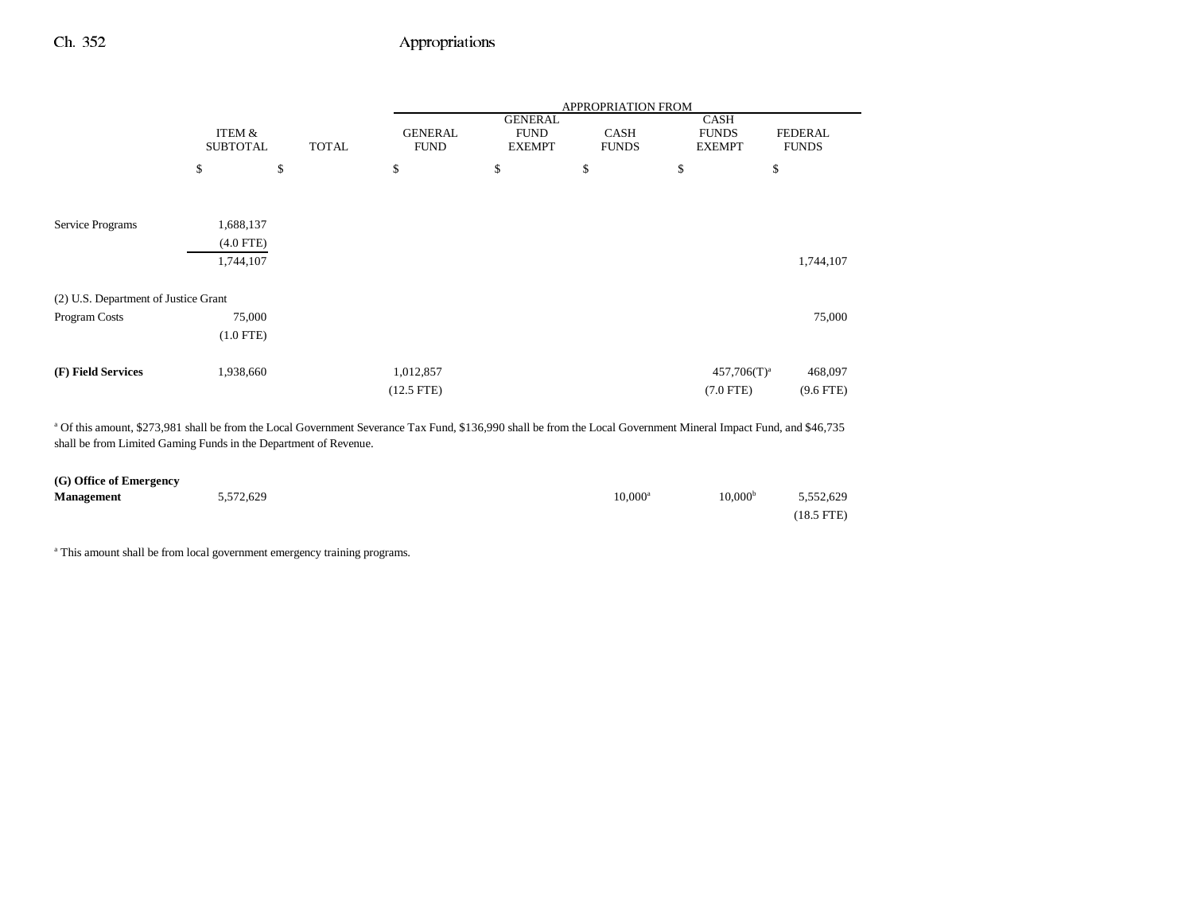|                                      |                 |              | <b>APPROPRIATION FROM</b> |                               |              |                      |              |
|--------------------------------------|-----------------|--------------|---------------------------|-------------------------------|--------------|----------------------|--------------|
|                                      | ITEM &          |              | <b>GENERAL</b>            | <b>GENERAL</b><br><b>FUND</b> | <b>CASH</b>  | CASH<br><b>FUNDS</b> | FEDERAL      |
|                                      | <b>SUBTOTAL</b> | <b>TOTAL</b> | <b>FUND</b>               | <b>EXEMPT</b>                 | <b>FUNDS</b> | <b>EXEMPT</b>        | <b>FUNDS</b> |
|                                      | \$              | \$           | \$                        | \$                            | \$           | \$                   | \$           |
|                                      |                 |              |                           |                               |              |                      |              |
| Service Programs                     | 1,688,137       |              |                           |                               |              |                      |              |
|                                      | $(4.0$ FTE)     |              |                           |                               |              |                      |              |
|                                      | 1,744,107       |              |                           |                               |              |                      | 1,744,107    |
| (2) U.S. Department of Justice Grant |                 |              |                           |                               |              |                      |              |
| Program Costs                        | 75,000          |              |                           |                               |              |                      | 75,000       |
|                                      | $(1.0$ FTE)     |              |                           |                               |              |                      |              |
| (F) Field Services                   | 1,938,660       |              | 1,012,857                 |                               |              | $457,706(T)^a$       | 468,097      |
|                                      |                 |              | $(12.5$ FTE $)$           |                               |              | $(7.0$ FTE)          | $(9.6$ FTE)  |

a Of this amount, \$273,981 shall be from the Local Government Severance Tax Fund, \$136,990 shall be from the Local Government Mineral Impact Fund, and \$46,735 shall be from Limited Gaming Funds in the Department of Revenue.

| (G) Office of Emergency |           |            |                                  |
|-------------------------|-----------|------------|----------------------------------|
| <b>Management</b>       | 5,572,629 | $10.000^a$ | 10,000 <sup>b</sup><br>5,552,629 |
|                         |           |            | $(18.5$ FTE)                     |

<sup>a</sup> This amount shall be from local government emergency training programs.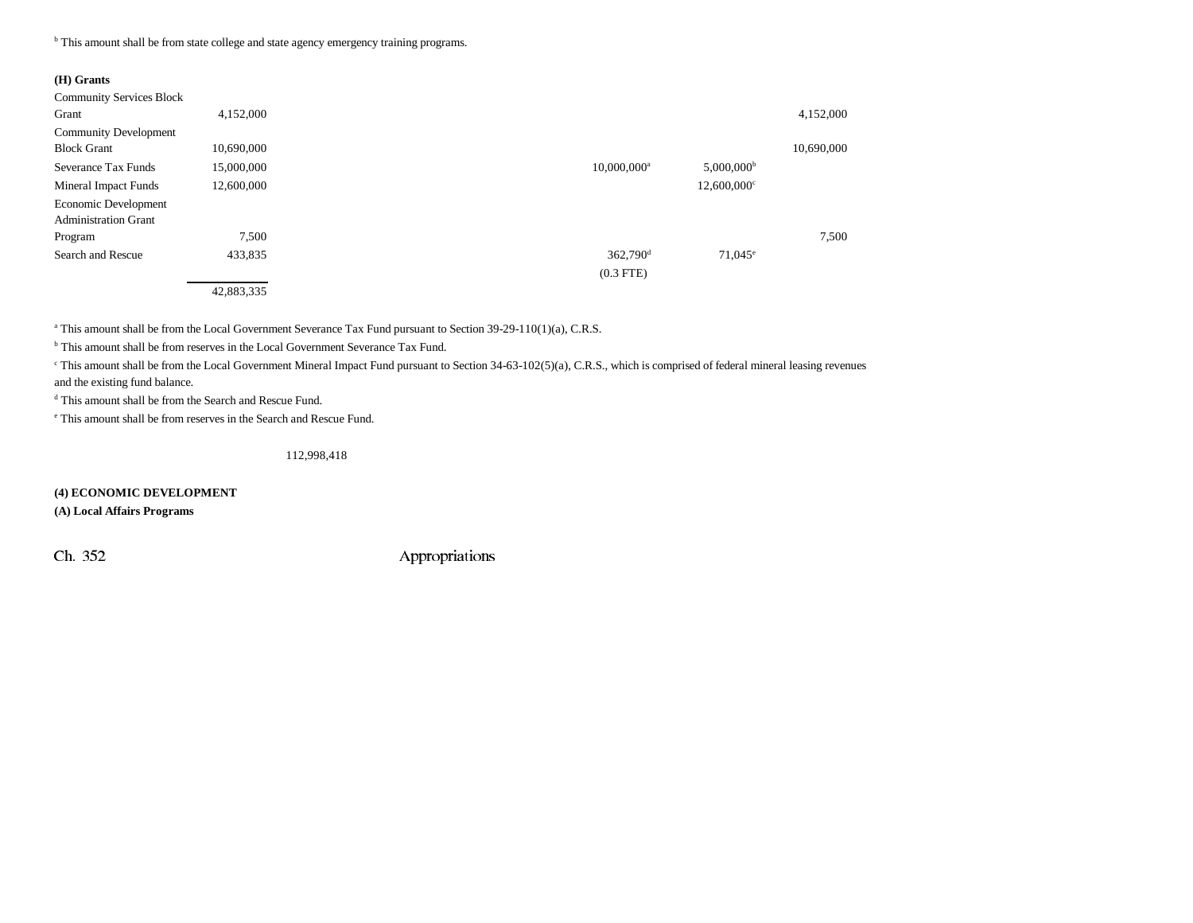<sup>b</sup> This amount shall be from state college and state agency emergency training programs.

#### **(H) Grants**

| <b>Community Services Block</b> |            |                                                       |            |
|---------------------------------|------------|-------------------------------------------------------|------------|
| Grant                           | 4,152,000  |                                                       | 4,152,000  |
| <b>Community Development</b>    |            |                                                       |            |
| <b>Block Grant</b>              | 10,690,000 |                                                       | 10,690,000 |
| Severance Tax Funds             | 15,000,000 | $5,000,000$ <sup>b</sup><br>$10,000,000$ <sup>a</sup> |            |
| Mineral Impact Funds            | 12,600,000 | $12,600,000$ <sup>c</sup>                             |            |
| Economic Development            |            |                                                       |            |
| <b>Administration Grant</b>     |            |                                                       |            |
| Program                         | 7,500      |                                                       | 7,500      |
| Search and Rescue               | 433,835    | 362,790 <sup>d</sup><br>$71,045^{\circ}$              |            |
|                                 |            | $(0.3$ FTE)                                           |            |
|                                 | 42,883,335 |                                                       |            |

<sup>a</sup> This amount shall be from the Local Government Severance Tax Fund pursuant to Section 39-29-110(1)(a), C.R.S.

<sup>b</sup> This amount shall be from reserves in the Local Government Severance Tax Fund.

<sup>c</sup> This amount shall be from the Local Government Mineral Impact Fund pursuant to Section 34-63-102(5)(a), C.R.S., which is comprised of federal mineral leasing revenues

and the existing fund balance.

d This amount shall be from the Search and Rescue Fund.

e This amount shall be from reserves in the Search and Rescue Fund.

#### 112,998,418

**(4) ECONOMIC DEVELOPMENT**

**(A) Local Affairs Programs**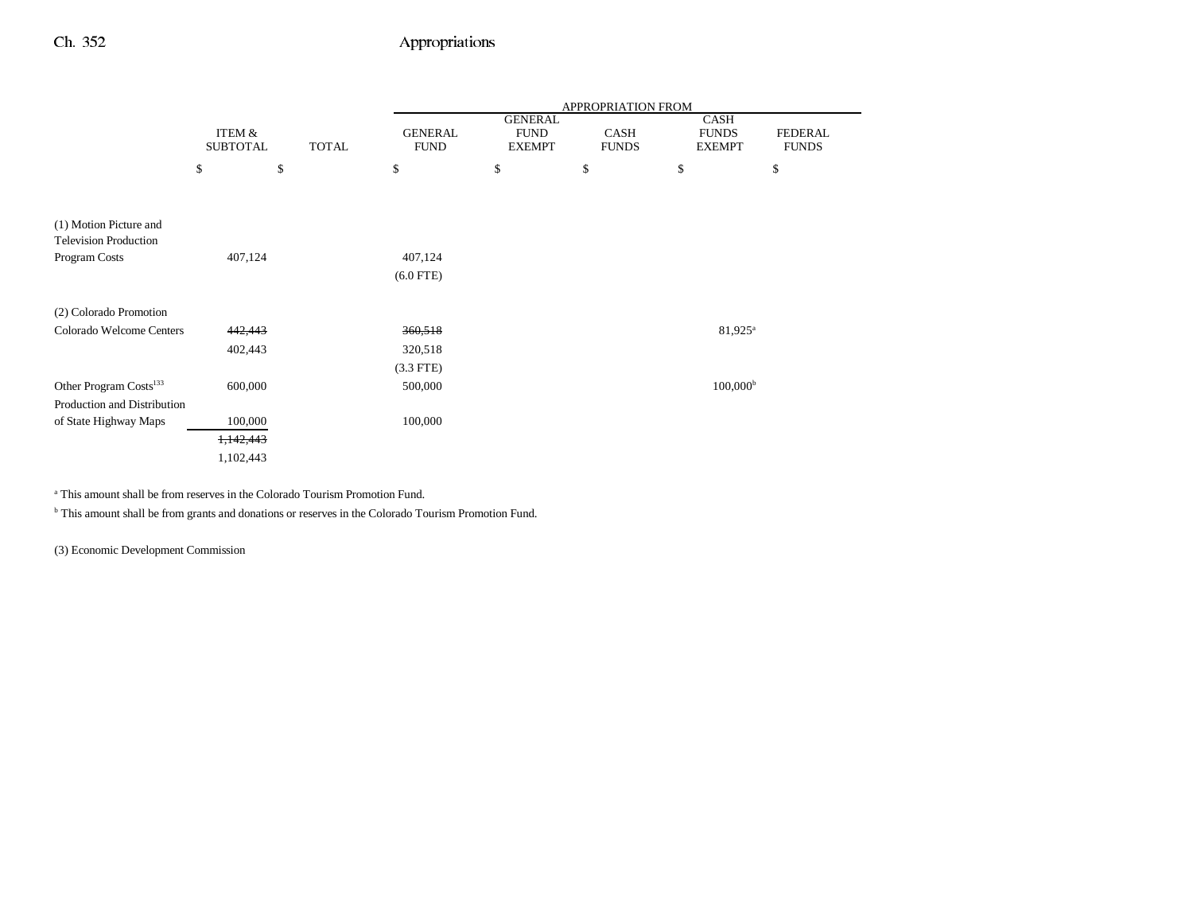|                                                        |                           |              | APPROPRIATION FROM            |                                                |                             |                                              |                                |
|--------------------------------------------------------|---------------------------|--------------|-------------------------------|------------------------------------------------|-----------------------------|----------------------------------------------|--------------------------------|
|                                                        | ITEM &<br><b>SUBTOTAL</b> | <b>TOTAL</b> | <b>GENERAL</b><br><b>FUND</b> | <b>GENERAL</b><br><b>FUND</b><br><b>EXEMPT</b> | <b>CASH</b><br><b>FUNDS</b> | <b>CASH</b><br><b>FUNDS</b><br><b>EXEMPT</b> | <b>FEDERAL</b><br><b>FUNDS</b> |
|                                                        | \$                        | \$           | \$                            | \$                                             | \$                          | \$                                           | \$                             |
|                                                        |                           |              |                               |                                                |                             |                                              |                                |
| (1) Motion Picture and<br><b>Television Production</b> |                           |              |                               |                                                |                             |                                              |                                |
| Program Costs                                          | 407,124                   |              | 407,124                       |                                                |                             |                                              |                                |
|                                                        |                           |              | $(6.0$ FTE)                   |                                                |                             |                                              |                                |
| (2) Colorado Promotion                                 |                           |              |                               |                                                |                             |                                              |                                |
| Colorado Welcome Centers                               | 442,443                   |              | 360,518                       |                                                |                             | $81,925^{\circ}$                             |                                |
|                                                        | 402,443                   |              | 320,518                       |                                                |                             |                                              |                                |
|                                                        |                           |              | $(3.3$ FTE)                   |                                                |                             |                                              |                                |
| Other Program Costs <sup>133</sup>                     | 600,000                   |              | 500,000                       |                                                |                             | $100,000^{\rm b}$                            |                                |
| Production and Distribution                            |                           |              |                               |                                                |                             |                                              |                                |
| of State Highway Maps                                  | 100,000                   |              | 100,000                       |                                                |                             |                                              |                                |
|                                                        | 1,142,443                 |              |                               |                                                |                             |                                              |                                |
|                                                        | 1,102,443                 |              |                               |                                                |                             |                                              |                                |

a This amount shall be from reserves in the Colorado Tourism Promotion Fund.

b This amount shall be from grants and donations or reserves in the Colorado Tourism Promotion Fund.

(3) Economic Development Commission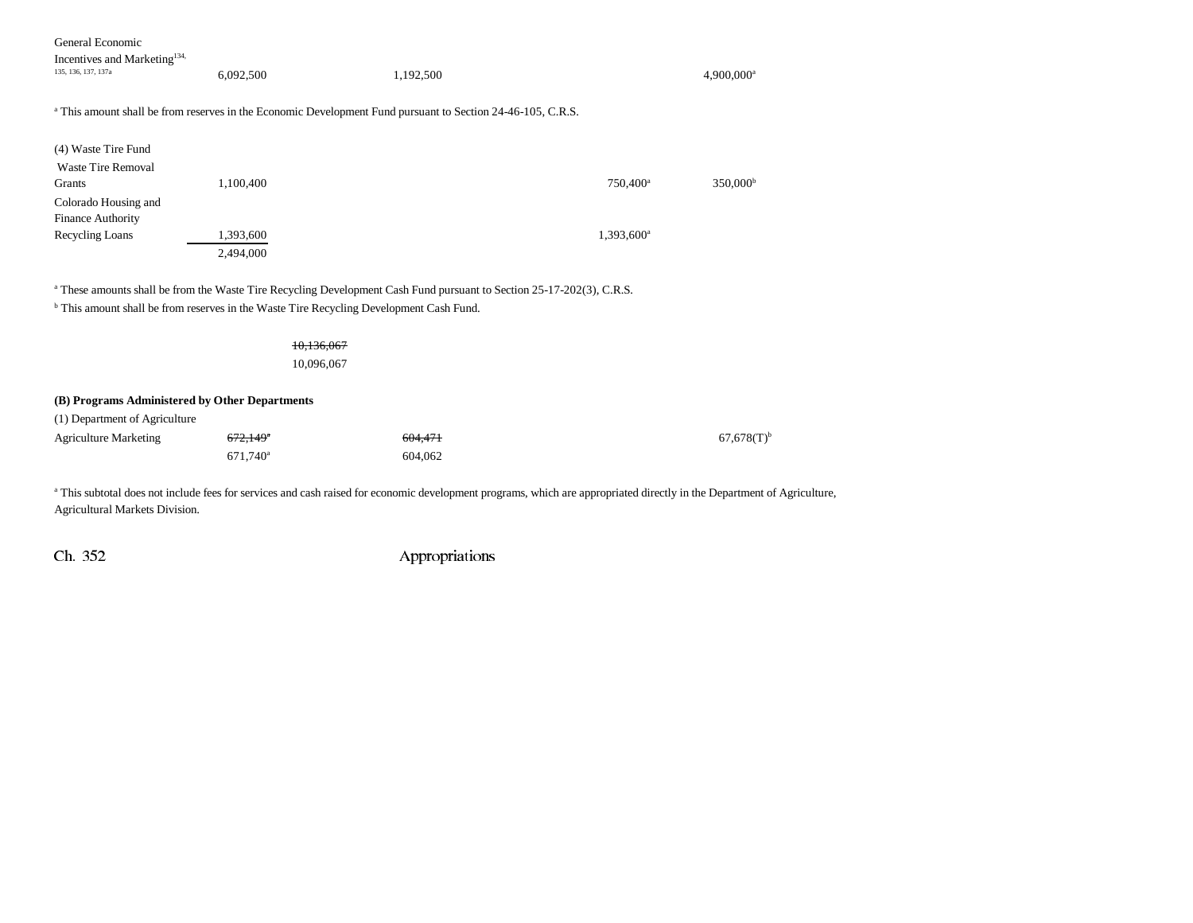| General Economic |
|------------------|
|                  |

| Incentives and Marketing <sup>134,</sup> |           |                                                                                                                        |                          |
|------------------------------------------|-----------|------------------------------------------------------------------------------------------------------------------------|--------------------------|
| 135, 136, 137, 137a                      | 6.092.500 | 1.192.500                                                                                                              | $4.900.000$ <sup>s</sup> |
|                                          |           | <sup>a</sup> This amount shall be from reserves in the Economic Development Fund pursuant to Section 24-46-105, C.R.S. |                          |

| (4) Waste Tire Fund      |           |                      |                   |
|--------------------------|-----------|----------------------|-------------------|
| Waste Tire Removal       |           |                      |                   |
| Grants                   | 1,100,400 | 750,400 <sup>a</sup> | $350,000^{\circ}$ |
| Colorado Housing and     |           |                      |                   |
| <b>Finance Authority</b> |           |                      |                   |
| Recycling Loans          | 1,393,600 | $1,393,600^{\circ}$  |                   |
|                          | 2,494,000 |                      |                   |

<sup>a</sup> These amounts shall be from the Waste Tire Recycling Development Cash Fund pursuant to Section 25-17-202(3), C.R.S.

 $<sup>b</sup>$  This amount shall be from reserves in the Waste Tire Recycling Development Cash Fund.</sup>

| (B) Programs Administered by Other Departments<br>(1) Department of Agriculture |                    |                          |
|---------------------------------------------------------------------------------|--------------------|--------------------------|
| $672,149$ <sup>*</sup><br>671,740 <sup>a</sup>                                  | 604,471<br>604,062 | $67,678(T)$ <sup>t</sup> |
|                                                                                 |                    | 10,136,067<br>10,096,067 |

<sup>a</sup> This subtotal does not include fees for services and cash raised for economic development programs, which are appropriated directly in the Department of Agriculture, Agricultural Markets Division.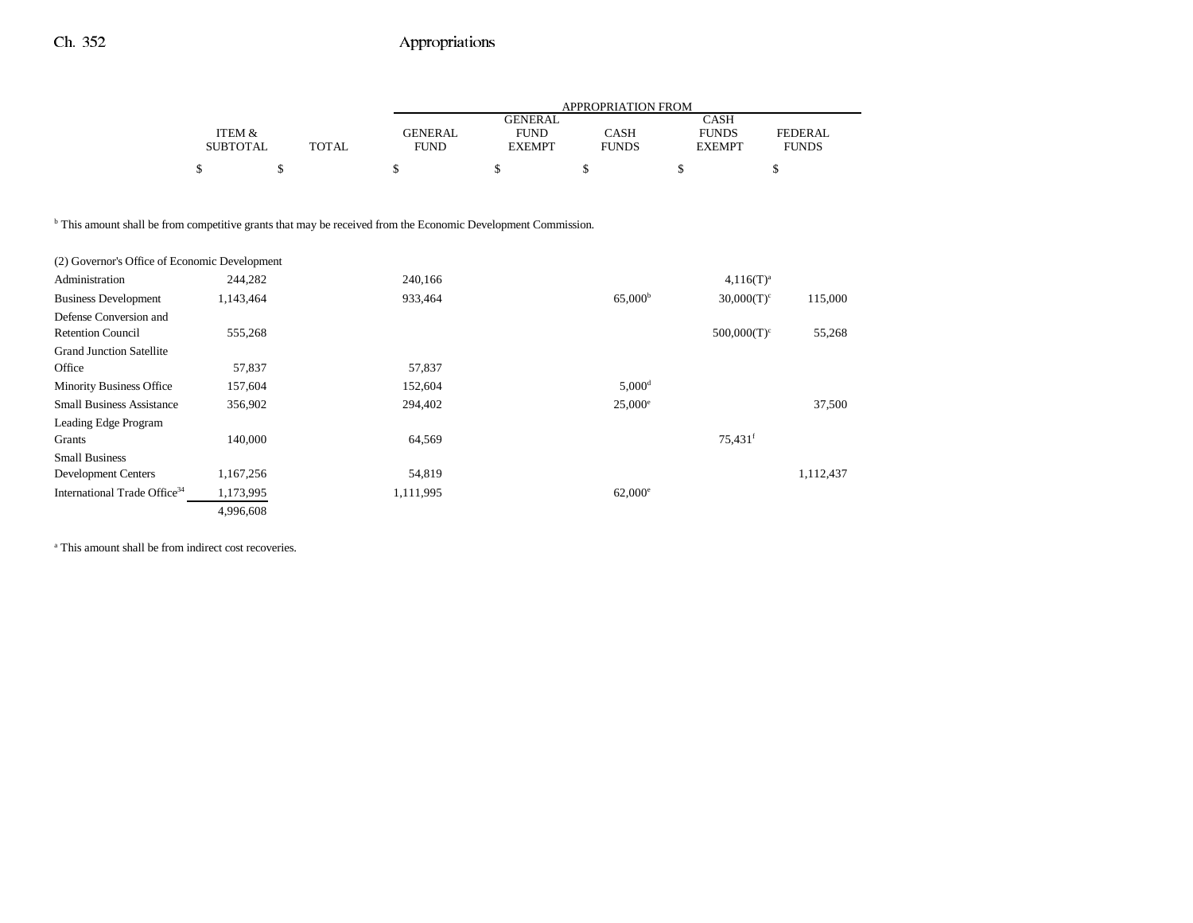|                                                                                                                          |                                      |              | APPROPRIATION FROM |                                                |                             |                                              |                                |
|--------------------------------------------------------------------------------------------------------------------------|--------------------------------------|--------------|--------------------|------------------------------------------------|-----------------------------|----------------------------------------------|--------------------------------|
|                                                                                                                          | <b>ITEM &amp;</b><br><b>SUBTOTAL</b> | <b>TOTAL</b> |                    | <b>GENERAL</b><br><b>FUND</b><br><b>EXEMPT</b> | <b>CASH</b><br><b>FUNDS</b> | <b>CASH</b><br><b>FUNDS</b><br><b>EXEMPT</b> | <b>FEDERAL</b><br><b>FUNDS</b> |
|                                                                                                                          | \$<br>\$                             |              | \$                 | \$                                             | \$                          | \$                                           | \$                             |
|                                                                                                                          |                                      |              |                    |                                                |                             |                                              |                                |
| <sup>b</sup> This amount shall be from competitive grants that may be received from the Economic Development Commission. |                                      |              |                    |                                                |                             |                                              |                                |
| (2) Governor's Office of Economic Development                                                                            |                                      |              |                    |                                                |                             |                                              |                                |
| Administration                                                                                                           | 244,282                              |              | 240,166            |                                                |                             | $4,116(T)^{a}$                               |                                |
| <b>Business Development</b>                                                                                              | 1,143,464                            |              | 933,464            |                                                | 65,000 <sup>b</sup>         | $30,000(T)^c$                                | 115,000                        |
| Defense Conversion and                                                                                                   |                                      |              |                    |                                                |                             |                                              |                                |
| <b>Retention Council</b>                                                                                                 | 555,268                              |              |                    |                                                |                             | $500,000(T)^c$                               | 55,268                         |
| <b>Grand Junction Satellite</b>                                                                                          |                                      |              |                    |                                                |                             |                                              |                                |
| Office                                                                                                                   | 57,837                               |              | 57,837             |                                                |                             |                                              |                                |
| Minority Business Office                                                                                                 | 157,604                              |              | 152,604            |                                                | $5,000$ <sup>d</sup>        |                                              |                                |
| <b>Small Business Assistance</b>                                                                                         | 356,902                              |              | 294,402            |                                                | $25,000^{\circ}$            |                                              | 37,500                         |
| Leading Edge Program                                                                                                     |                                      |              |                    |                                                |                             |                                              |                                |
| Grants                                                                                                                   | 140,000                              |              | 64,569             |                                                |                             | $75,431$ <sup>f</sup>                        |                                |
| <b>Small Business</b>                                                                                                    |                                      |              |                    |                                                |                             |                                              |                                |
| <b>Development Centers</b>                                                                                               | 1,167,256                            |              | 54,819             |                                                |                             |                                              | 1,112,437                      |
| International Trade Office <sup>34</sup>                                                                                 | 1,173,995                            |              | 1,111,995          |                                                | $62,000^{\circ}$            |                                              |                                |
|                                                                                                                          | 4,996,608                            |              |                    |                                                |                             |                                              |                                |

<sup>a</sup> This amount shall be from indirect cost recoveries.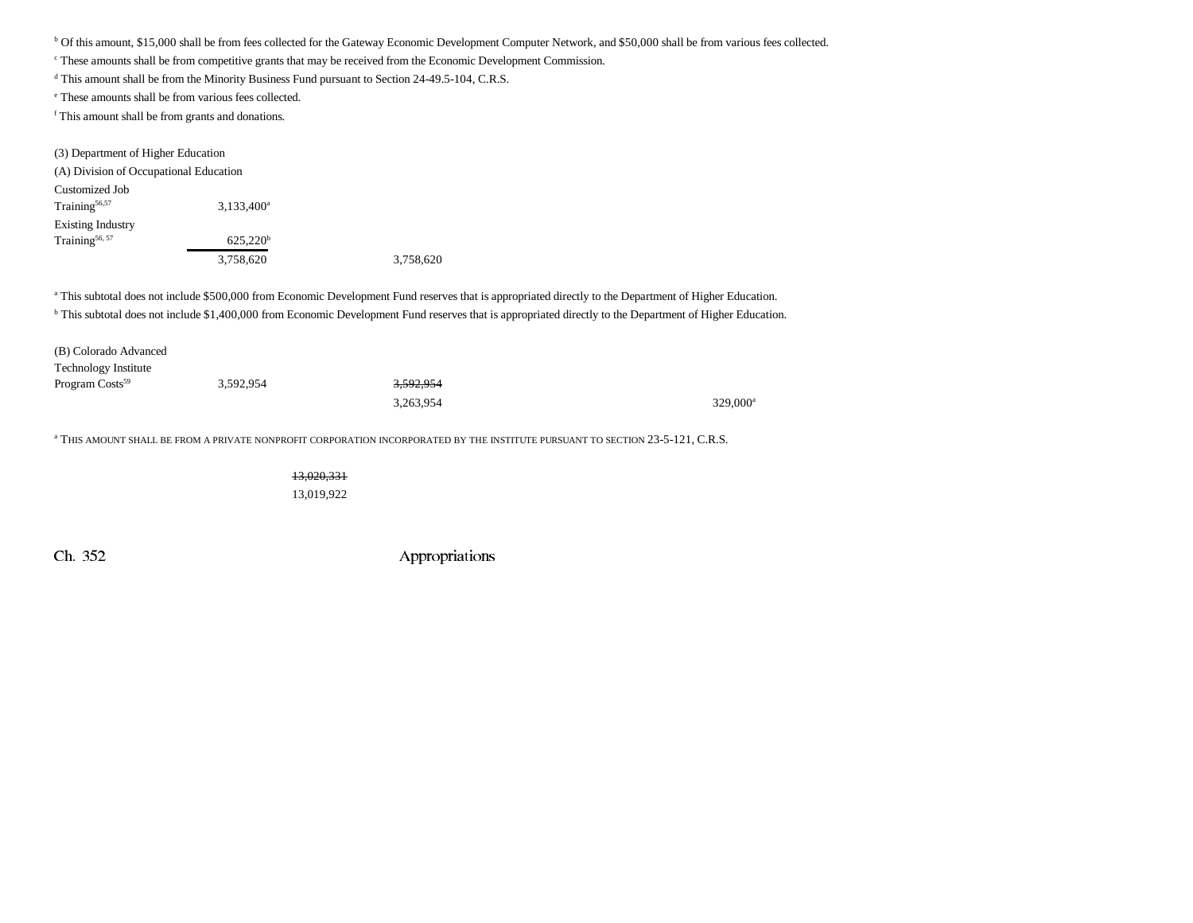b Of this amount, \$15,000 shall be from fees collected for the Gateway Economic Development Computer Network, and \$50,000 shall be from various fees collected.

<sup>c</sup> These amounts shall be from competitive grants that may be received from the Economic Development Commission.

d This amount shall be from the Minority Business Fund pursuant to Section 24-49.5-104, C.R.S.

e These amounts shall be from various fees collected.

f This amount shall be from grants and donations.

| (3) Department of Higher Education     |                      |   |
|----------------------------------------|----------------------|---|
| (A) Division of Occupational Education |                      |   |
| Customized Job                         |                      |   |
| Training $56,57$                       | $3,133,400^a$        |   |
| <b>Existing Industry</b>               |                      |   |
| Training <sup>56, 57</sup>             | 625.220 <sup>b</sup> |   |
|                                        | 3.758.620            | 3 |

3,758,620 3,758,620

a This subtotal does not include \$500,000 from Economic Development Fund reserves that is appropriated directly to the Department of Higher Education. <sup>b</sup> This subtotal does not include \$1,400,000 from Economic Development Fund reserves that is appropriated directly to the Department of Higher Education.

| (B) Colorado Advanced       |           |                      |                      |
|-----------------------------|-----------|----------------------|----------------------|
| <b>Technology Institute</b> |           |                      |                      |
| Program Costs <sup>59</sup> | 3,592,954 | <del>3,592,954</del> |                      |
|                             |           | 3,263,954            | 329,000 <sup>a</sup> |

<sup>a</sup> THIS AMOUNT SHALL BE FROM A PRIVATE NONPROFIT CORPORATION INCORPORATED BY THE INSTITUTE PURSUANT TO SECTION 23-5-121, C.R.S.

13,020,331 13,019,922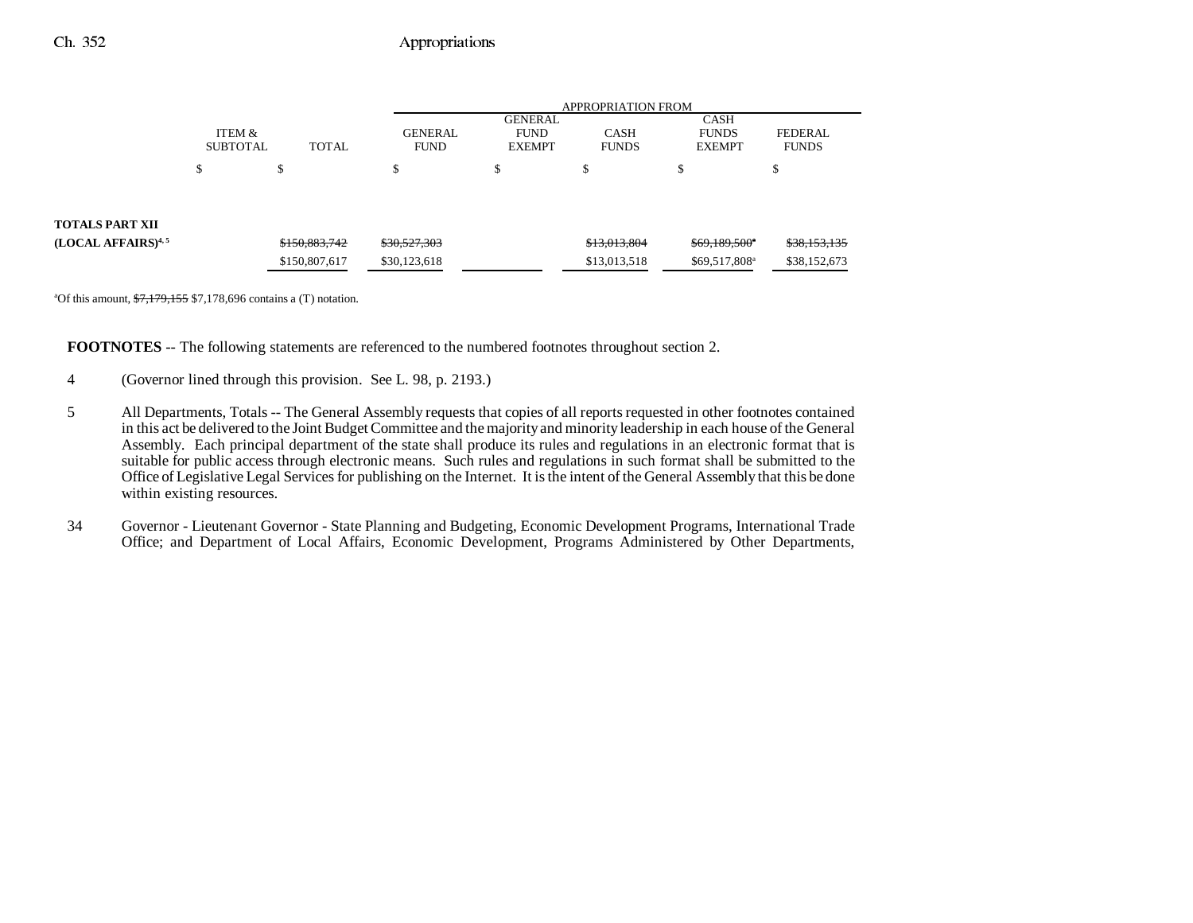|                                |                           |                                |                               | <b>APPROPRIATION FROM</b>                      |                              |                                              |                                |  |
|--------------------------------|---------------------------|--------------------------------|-------------------------------|------------------------------------------------|------------------------------|----------------------------------------------|--------------------------------|--|
|                                | ITEM &<br><b>SUBTOTAL</b> | <b>TOTAL</b>                   | <b>GENERAL</b><br><b>FUND</b> | <b>GENERAL</b><br><b>FUND</b><br><b>EXEMPT</b> | <b>CASH</b><br><b>FUNDS</b>  | <b>CASH</b><br><b>FUNDS</b><br><b>EXEMPT</b> | <b>FEDERAL</b><br><b>FUNDS</b> |  |
|                                | ሖ<br>ъ                    | \$                             | \$                            | хE                                             | $\triangle$<br>Ф             | S                                            | J                              |  |
| TOTALS PART XII                |                           |                                |                               |                                                |                              |                                              |                                |  |
| (LOCAL AFFAIRS) <sup>4,5</sup> |                           | \$150,883,742<br>\$150,807,617 | \$30,527,303<br>\$30,123,618  |                                                | \$13,013,804<br>\$13,013,518 | \$69,189,500"<br>\$69,517,808 <sup>a</sup>   | \$38,153,135<br>\$38,152,673   |  |

<sup>a</sup>Of this amount,  $\frac{$7,179,155}{$7,178,696}$  contains a (T) notation.

**FOOTNOTES** -- The following statements are referenced to the numbered footnotes throughout section 2.

- 4 (Governor lined through this provision. See L. 98, p. 2193.)
- 5 All Departments, Totals -- The General Assembly requests that copies of all reports requested in other footnotes contained in this act be delivered to the Joint Budget Committee and the majority and minority leadership in each house of the General Assembly. Each principal department of the state shall produce its rules and regulations in an electronic format that is suitable for public access through electronic means. Such rules and regulations in such format shall be submitted to the Office of Legislative Legal Services for publishing on the Internet. It is the intent of the General Assembly that this be done within existing resources.
- 34 Governor Lieutenant Governor State Planning and Budgeting, Economic Development Programs, International Trade Office; and Department of Local Affairs, Economic Development, Programs Administered by Other Departments,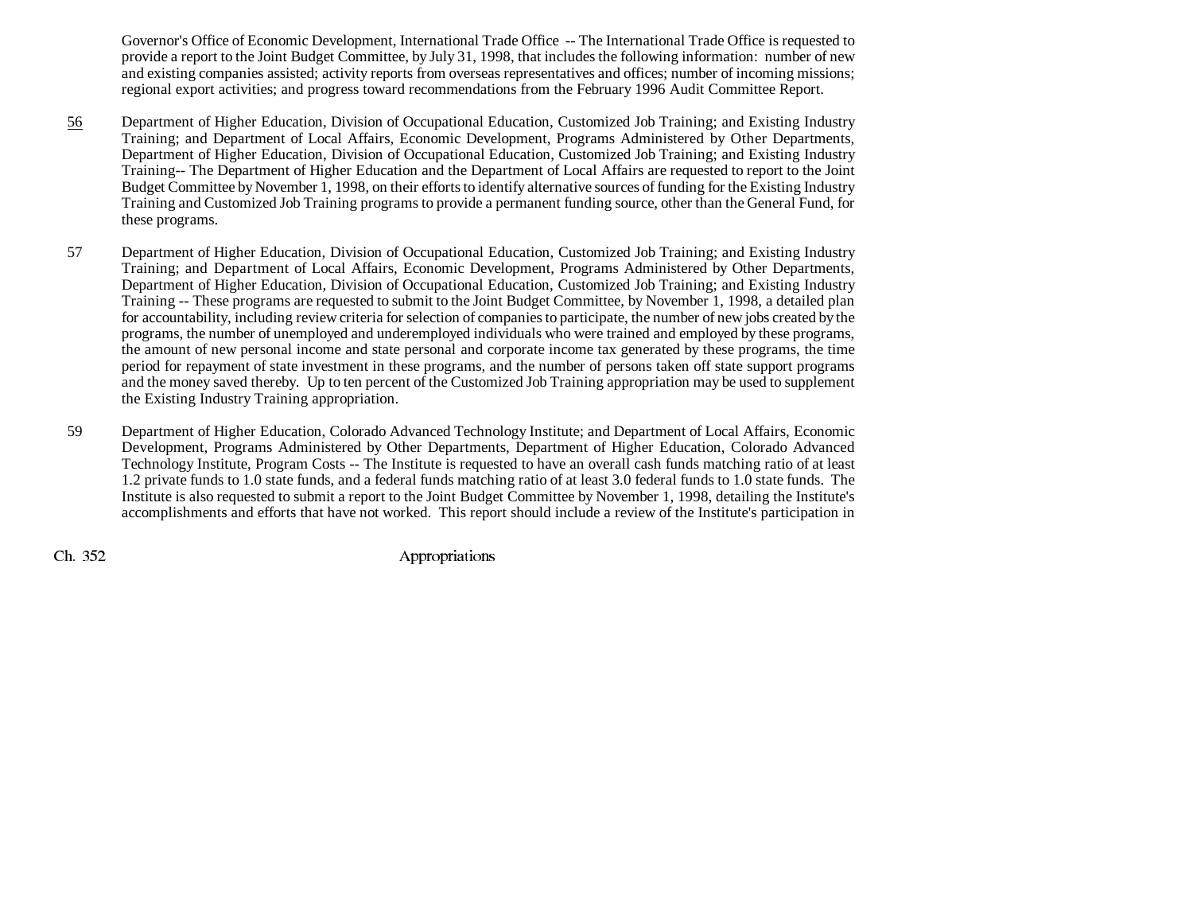Governor's Office of Economic Development, International Trade Office -- The International Trade Office is requested to provide a report to the Joint Budget Committee, by July 31, 1998, that includes the following information: number of new and existing companies assisted; activity reports from overseas representatives and offices; number of incoming missions; regional export activities; and progress toward recommendations from the February 1996 Audit Committee Report.

- 56 Department of Higher Education, Division of Occupational Education, Customized Job Training; and Existing Industry Training; and Department of Local Affairs, Economic Development, Programs Administered by Other Departments, Department of Higher Education, Division of Occupational Education, Customized Job Training; and Existing Industry Training-- The Department of Higher Education and the Department of Local Affairs are requested to report to the Joint Budget Committee by November 1, 1998, on their efforts to identify alternative sources of funding for the Existing Industry Training and Customized Job Training programs to provide a permanent funding source, other than the General Fund, for these programs.
- 57 Department of Higher Education, Division of Occupational Education, Customized Job Training; and Existing Industry Training; and Department of Local Affairs, Economic Development, Programs Administered by Other Departments, Department of Higher Education, Division of Occupational Education, Customized Job Training; and Existing Industry Training -- These programs are requested to submit to the Joint Budget Committee, by November 1, 1998, a detailed plan for accountability, including review criteria for selection of companies to participate, the number of new jobs created by the programs, the number of unemployed and underemployed individuals who were trained and employed by these programs, the amount of new personal income and state personal and corporate income tax generated by these programs, the time period for repayment of state investment in these programs, and the number of persons taken off state support programs and the money saved thereby. Up to ten percent of the Customized Job Training appropriation may be used to supplement the Existing Industry Training appropriation.
- 59 Department of Higher Education, Colorado Advanced Technology Institute; and Department of Local Affairs, Economic Development, Programs Administered by Other Departments, Department of Higher Education, Colorado Advanced Technology Institute, Program Costs -- The Institute is requested to have an overall cash funds matching ratio of at least 1.2 private funds to 1.0 state funds, and a federal funds matching ratio of at least 3.0 federal funds to 1.0 state funds. The Institute is also requested to submit a report to the Joint Budget Committee by November 1, 1998, detailing the Institute's accomplishments and efforts that have not worked. This report should include a review of the Institute's participation in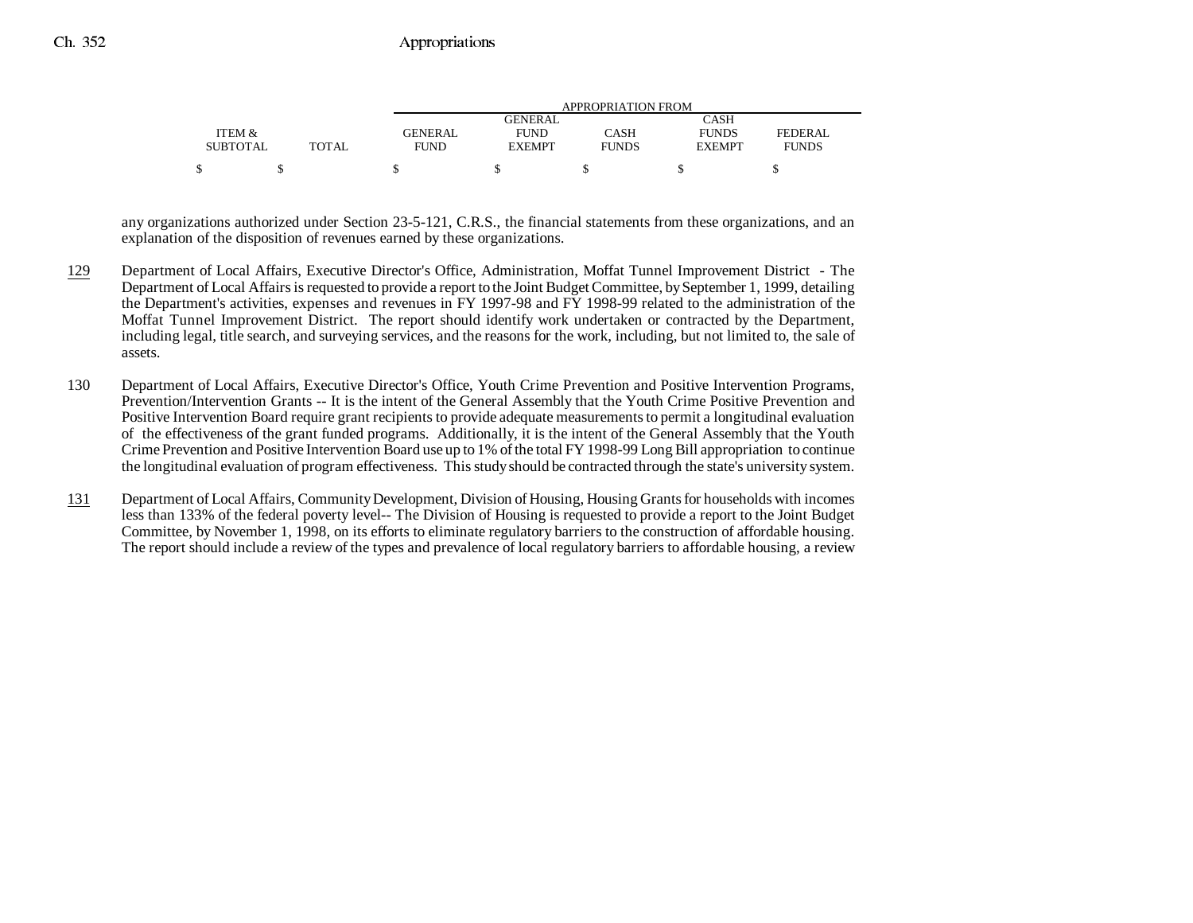|                 |              | APPROPRIATION FROM |               |              |               |              |  |
|-----------------|--------------|--------------------|---------------|--------------|---------------|--------------|--|
|                 |              |                    | GENERAL       |              | CASH          |              |  |
| ITEM &          |              | <b>GENERAL</b>     | <b>FUND</b>   | CASH         | <b>FUNDS</b>  | FEDERAL      |  |
| <b>SUBTOTAL</b> | <b>TOTAL</b> | <b>FUND</b>        | <b>EXEMPT</b> | <b>FUNDS</b> | <b>EXEMPT</b> | <b>FUNDS</b> |  |
|                 |              |                    |               |              |               |              |  |

any organizations authorized under Section 23-5-121, C.R.S., the financial statements from these organizations, and an explanation of the disposition of revenues earned by these organizations.

- 129 Department of Local Affairs, Executive Director's Office, Administration, Moffat Tunnel Improvement District - The Department of Local Affairs is requested to provide a report to the Joint Budget Committee, by September 1, 1999, detailing the Department's activities, expenses and revenues in FY 1997-98 and FY 1998-99 related to the administration of the Moffat Tunnel Improvement District. The report should identify work undertaken or contracted by the Department, including legal, title search, and surveying services, and the reasons for the work, including, but not limited to, the sale of assets.
- 130 Department of Local Affairs, Executive Director's Office, Youth Crime Prevention and Positive Intervention Programs, Prevention/Intervention Grants -- It is the intent of the General Assembly that the Youth Crime Positive Prevention and Positive Intervention Board require grant recipients to provide adequate measurements to permit a longitudinal evaluation of the effectiveness of the grant funded programs. Additionally, it is the intent of the General Assembly that the Youth Crime Prevention and Positive Intervention Board use up to 1% of the total FY 1998-99 Long Bill appropriation to continue the longitudinal evaluation of program effectiveness. This study should be contracted through the state's university system.
- 131 Department of Local Affairs, Community Development, Division of Housing, Housing Grants for households with incomes less than 133% of the federal poverty level-- The Division of Housing is requested to provide a report to the Joint Budget Committee, by November 1, 1998, on its efforts to eliminate regulatory barriers to the construction of affordable housing. The report should include a review of the types and prevalence of local regulatory barriers to affordable housing, a review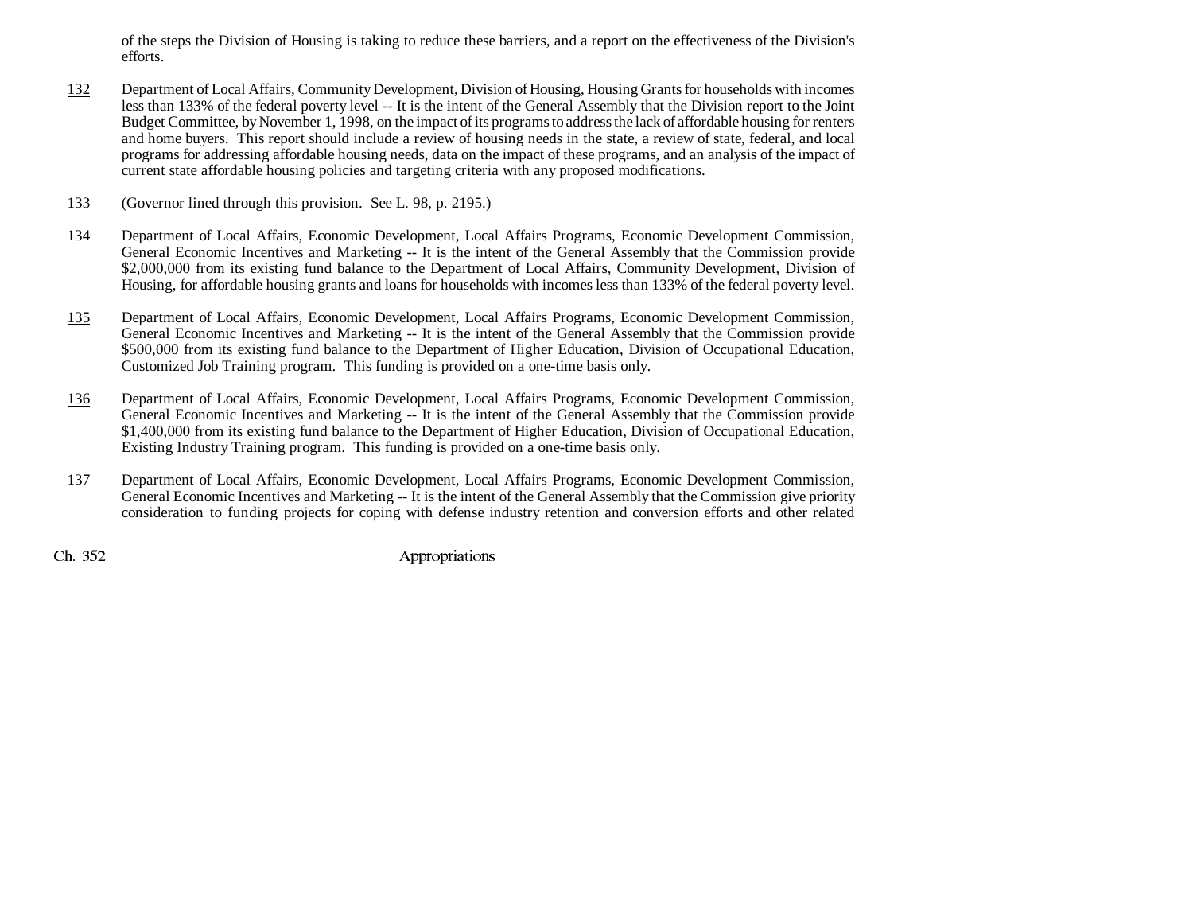of the steps the Division of Housing is taking to reduce these barriers, and a report on the effectiveness of the Division's efforts.

- 132 Department of Local Affairs, Community Development, Division of Housing, Housing Grants for households with incomes less than 133% of the federal poverty level -- It is the intent of the General Assembly that the Division report to the Joint Budget Committee, by November 1, 1998, on the impact of its programs to address the lack of affordable housing for renters and home buyers. This report should include a review of housing needs in the state, a review of state, federal, and local programs for addressing affordable housing needs, data on the impact of these programs, and an analysis of the impact of current state affordable housing policies and targeting criteria with any proposed modifications.
- 133 (Governor lined through this provision. See L. 98, p. 2195.)
- 134 Department of Local Affairs, Economic Development, Local Affairs Programs, Economic Development Commission, General Economic Incentives and Marketing -- It is the intent of the General Assembly that the Commission provide \$2,000,000 from its existing fund balance to the Department of Local Affairs, Community Development, Division of Housing, for affordable housing grants and loans for households with incomes less than 133% of the federal poverty level.
- 135 Department of Local Affairs, Economic Development, Local Affairs Programs, Economic Development Commission, General Economic Incentives and Marketing -- It is the intent of the General Assembly that the Commission provide \$500,000 from its existing fund balance to the Department of Higher Education, Division of Occupational Education, Customized Job Training program. This funding is provided on a one-time basis only.
- 136 Department of Local Affairs, Economic Development, Local Affairs Programs, Economic Development Commission, General Economic Incentives and Marketing -- It is the intent of the General Assembly that the Commission provide \$1,400,000 from its existing fund balance to the Department of Higher Education, Division of Occupational Education, Existing Industry Training program. This funding is provided on a one-time basis only.
- 137 Department of Local Affairs, Economic Development, Local Affairs Programs, Economic Development Commission, General Economic Incentives and Marketing -- It is the intent of the General Assembly that the Commission give priority consideration to funding projects for coping with defense industry retention and conversion efforts and other related